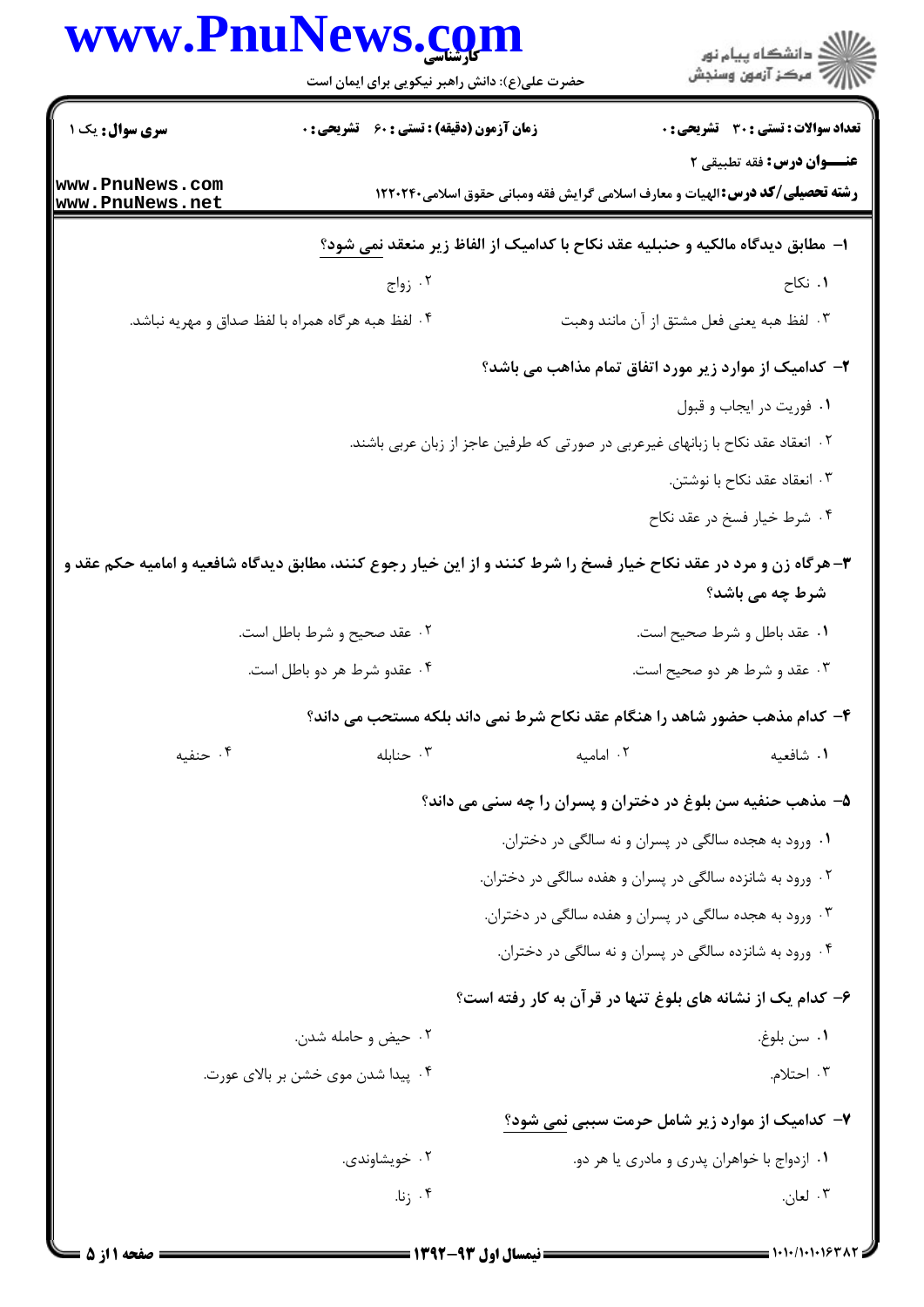|                                    | www.PnuNews.com                                                                                                    |           | ر<br>اڳ دانشڪاه پيام نور<br>اڳ مرڪز آزمون وسنڊش                                                                            |
|------------------------------------|--------------------------------------------------------------------------------------------------------------------|-----------|----------------------------------------------------------------------------------------------------------------------------|
|                                    | حضرت علی(ع): دانش راهبر نیکویی برای ایمان است                                                                      |           |                                                                                                                            |
| <b>سری سوال :</b> یک ۱             | <b>زمان آزمون (دقیقه) : تستی : 60 ٪ تشریحی : 0</b>                                                                 |           | <b>تعداد سوالات : تستی : 30 ٪ تشریحی : 0</b>                                                                               |
| www.PnuNews.com<br>www.PnuNews.net |                                                                                                                    |           | <b>عنـــوان درس:</b> فقه تطبیقی ۲<br><b>رشته تحصیلی/کد درس: ا</b> لهیات و معارف اسلامی گرایش فقه ومبانی حقوق اسلامی۱۲۲۰۲۴۰ |
|                                    |                                                                                                                    |           | ا–  مطابق دیدگاه مالکیه و حنبلیه عقد نکاح با کدامیک از الفاظ زیر منعقد نمی شود؟                                            |
|                                    | ۰۲ زواج                                                                                                            |           | ۰۱ نکاح                                                                                                                    |
|                                    | ۰۴ لفظ هبه هرگاه همراه با لفظ صداق و مهریه نباشد.                                                                  |           | ٠٣ لفظ هبه يعني فعل مشتق از آن مانند وهبت                                                                                  |
|                                    |                                                                                                                    |           | ۲- کدامیک از موارد زیر مورد اتفاق تمام مذاهب می باشد؟                                                                      |
|                                    |                                                                                                                    |           | ٠١ فوريت در ايجاب و قبول                                                                                                   |
|                                    |                                                                                                                    |           | ۲ . انعقاد عقد نکاح با زبانهای غیرعربی در صورتی که طرفین عاجز از زبان عربی باشند.                                          |
|                                    |                                                                                                                    |           | ۰۳ انعقاد عقد نكاح با نوشتن.                                                                                               |
|                                    |                                                                                                                    |           | ۰۴ شرط خیار فسخ در عقد نکاح                                                                                                |
|                                    | ۳- هرگاه زن و مرد در عقد نکاح خیار فسخ را شرط کنند و از این خیار رجوع کنند، مطابق دیدگاه شافعیه و امامیه حکم عقد و |           | شرط چه می باشد؟                                                                                                            |
|                                    | ۰۲ عقد صحیح و شرط باطل است.                                                                                        |           | ۰۱ عقد باطل و شرط صحیح است.                                                                                                |
|                                    | ۰۴ عقدو شرط هر دو باطل است.                                                                                        |           | ۰۳ عقد و شرط هر دو صحیح است.                                                                                               |
|                                    |                                                                                                                    |           | ۴- کدام مذهب حضور شاهد را هنگام عقد نکاح شرط نمی داند بلکه مستحب می داند؟                                                  |
| ۰۴ حنفیه                           | ۰۳ حنابله                                                                                                          | ۰۲ امامیه | ۰۱ شافعیه                                                                                                                  |
|                                    |                                                                                                                    |           | ۵– مذهب حنفیه سن بلوغ در دختران و پسران را چه سنی می داند؟                                                                 |
|                                    |                                                                                                                    |           | ۰۱ ورود به هجده سالگی در پسران و نه سالگی در دختران.                                                                       |
|                                    |                                                                                                                    |           | ۰۲ ورود به شانزده سالگی در پسران و هفده سالگی در دختران.                                                                   |
|                                    |                                                                                                                    |           | ۰۳ ورود به هجده سالگی در پسران و هفده سالگی در دختران.                                                                     |
|                                    |                                                                                                                    |           | ۰۴ ورود به شانزده سالگی در پسران و نه سالگی در دختران.                                                                     |
|                                    |                                                                                                                    |           | ۶– کدام یک از نشانه های بلوغ تنها در قرآن به کار رفته است؟                                                                 |
|                                    | ۰۲ حیض و حامله شدن.                                                                                                |           | ٠١ سن بلوغ.                                                                                                                |
|                                    | ۰۴ پیدا شدن موی خشن بر بالای عورت.                                                                                 |           | ۰۳ احتلام.                                                                                                                 |
|                                    |                                                                                                                    |           | ۷- کدامیک از موارد زیر شامل حرمت سببی نمی شود؟                                                                             |
|                                    | ۰۲ خویشاوندی.                                                                                                      |           | ۰۱ ازدواج با خواهران پدري و مادري يا هر دو.                                                                                |
|                                    | ۰۴ زنا.                                                                                                            |           | ۰۳ لعان.                                                                                                                   |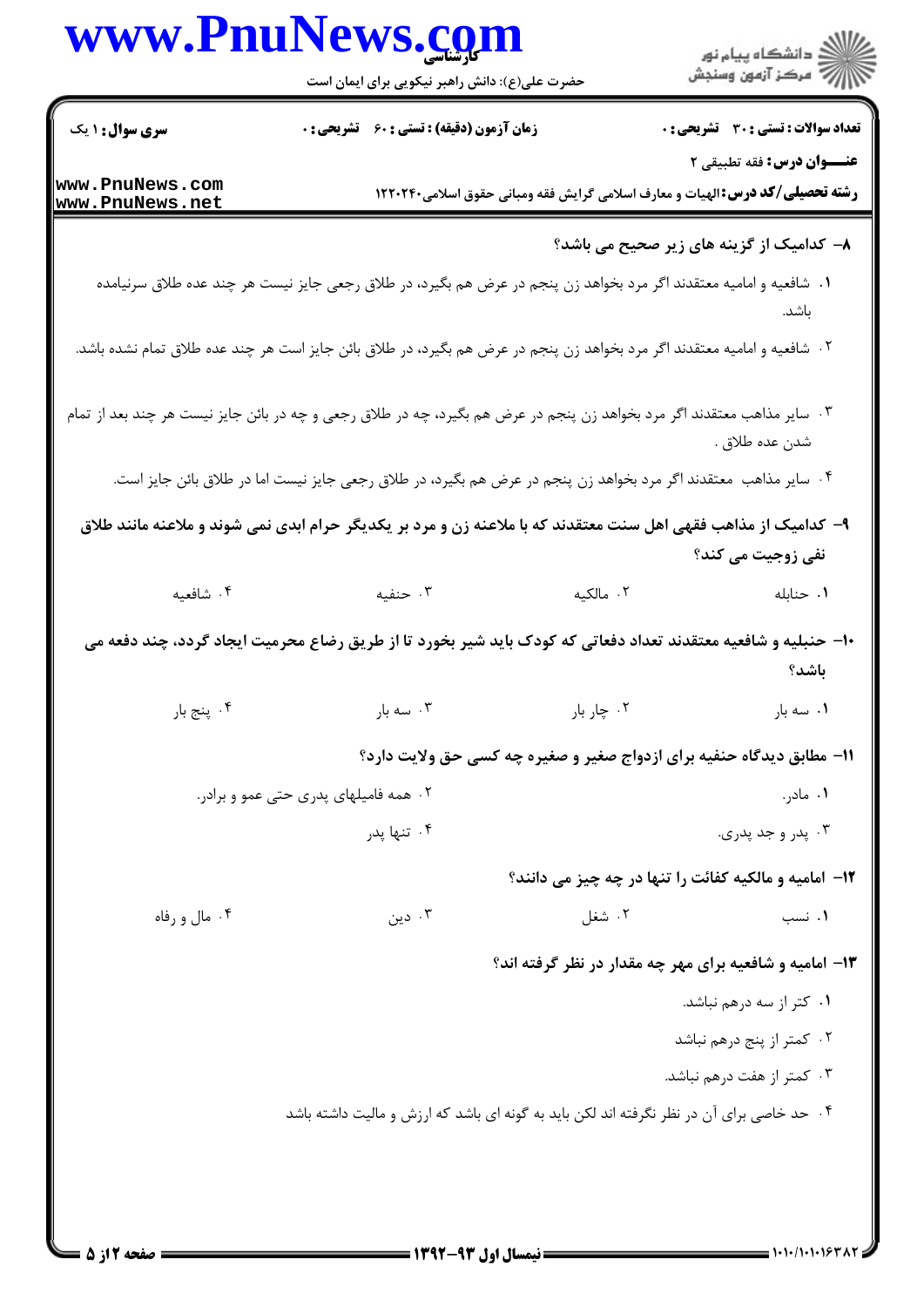|                        | www.PnuNews.com<br>حضرت علی(ع): دانش راهبر نیکویی برای ایمان است                                                         |                                                                                       | الا دانشگاه پيام نور<br>  > مرکز آزمون وسنجش |
|------------------------|--------------------------------------------------------------------------------------------------------------------------|---------------------------------------------------------------------------------------|----------------------------------------------|
| <b>سری سوال : ۱ یک</b> | <b>زمان آزمون (دقیقه) : تستی : 60 ٪ تشریحی : 0</b>                                                                       |                                                                                       | <b>تعداد سوالات : تستی : 30 ٪ تشریحی : 0</b> |
| www.PnuNews.com        |                                                                                                                          |                                                                                       | عنـــوان درس: فقه تطبيقي ٢                   |
| www.PnuNews.net        |                                                                                                                          | <b>رشته تحصیلی/کد درس: ا</b> لهیات و معارف اسلامی گرایش فقه ومبانی حقوق اسلامی۱۲۲۰۲۴۰ |                                              |
|                        |                                                                                                                          |                                                                                       | ٨- كداميك از گزينه های زير صحيح می باشد؟     |
|                        | ۰۱ شافعیه و امامیه معتقدند اگر مرد بخواهد زن پنجم در عرض هم بگیرد، در طلاق رجعی جایز نیست هر چند عده طلاق سرنیامده       |                                                                                       |                                              |
|                        |                                                                                                                          |                                                                                       | باشد.                                        |
|                        | ۰۲ شافعیه و امامیه معتقدند اگر مرد بخواهد زن پنجم در عرض هم بگیرد، در طلاق بائن جایز است هر چند عده طلاق تمام نشده باشد. |                                                                                       |                                              |
|                        | ۰۳ سایر مذاهب معتقدند اگر مرد بخواهد زن پنجم در عرض هم بگیرد، چه در طلاق رجعی و چه در بائن جایز نیست هر چند بعد از تمام  |                                                                                       | شدن عده طلاق .                               |
|                        | ۰۴ سایر مذاهب  معتقدند اگر مرد بخواهد زن پنجم در عرض هم بگیرد، در طلاق رجعی جایز نیست اما در طلاق بائن جایز است.         |                                                                                       |                                              |
|                        | ۹- کدامیک از مذاهب فقهی اهل سنت معتقدند که با ملاعنه زن و مرد بر یکدیگر حرام ابدی نمی شوند و ملاعنه مانند طلاق           |                                                                                       |                                              |
|                        |                                                                                                                          |                                                                                       | نفي زوجيت مي كند؟                            |
| ۰۴ شافعیه              | ۰۳ حنفیه                                                                                                                 | ۲. مالکیه                                                                             | ۰۱ حنابله                                    |
|                        | ۱۰– حنبلیه و شافعیه معتقدند تعداد دفعاتی که کودک باید شیر بخورد تا از طریق رضاع محرمیت ایجاد گردد، چند دفعه می           |                                                                                       |                                              |
|                        |                                                                                                                          |                                                                                       | باشد؟                                        |
| ۰۴ پنج بار             | ۰۳ سه بار $\cdot$                                                                                                        | ۰۲ چار بار                                                                            | ۰۱ سه بار                                    |
|                        |                                                                                                                          | 11- مطابق دیدگاه حنفیه برای ازدواج صغیر و صغیره چه کسی حق ولایت دارد؟                 |                                              |
|                        | ۰۲ همه فامیلهای پدری حتی عمو و برادر.                                                                                    |                                                                                       | ۰۱ مادر.                                     |
|                        | ۰۴ تنها پدر                                                                                                              |                                                                                       | ۰۳ پدر و جد پدري.                            |
|                        |                                                                                                                          | <b>۱۲- امامیه و مالکیه کفائت را تنها در چه چیز می دانند؟</b>                          |                                              |
| ۰۴ مال و رفاه          | دین $\cdot$ ۳                                                                                                            | ۰۲ شغل                                                                                | ۰۱ نسب                                       |
|                        |                                                                                                                          | <b>۱۳</b> - امامیه و شافعیه برای مهر چه مقدار در نظر گرفته اند؟                       |                                              |
|                        |                                                                                                                          |                                                                                       | ٠١ كتر از سه درهم نباشد.                     |
|                        |                                                                                                                          |                                                                                       | ۰۲ کمتر از پنج درهم نباشد                    |
|                        |                                                                                                                          |                                                                                       |                                              |
|                        |                                                                                                                          |                                                                                       | ۰۳ کمتر از هفت درهم نباشد.                   |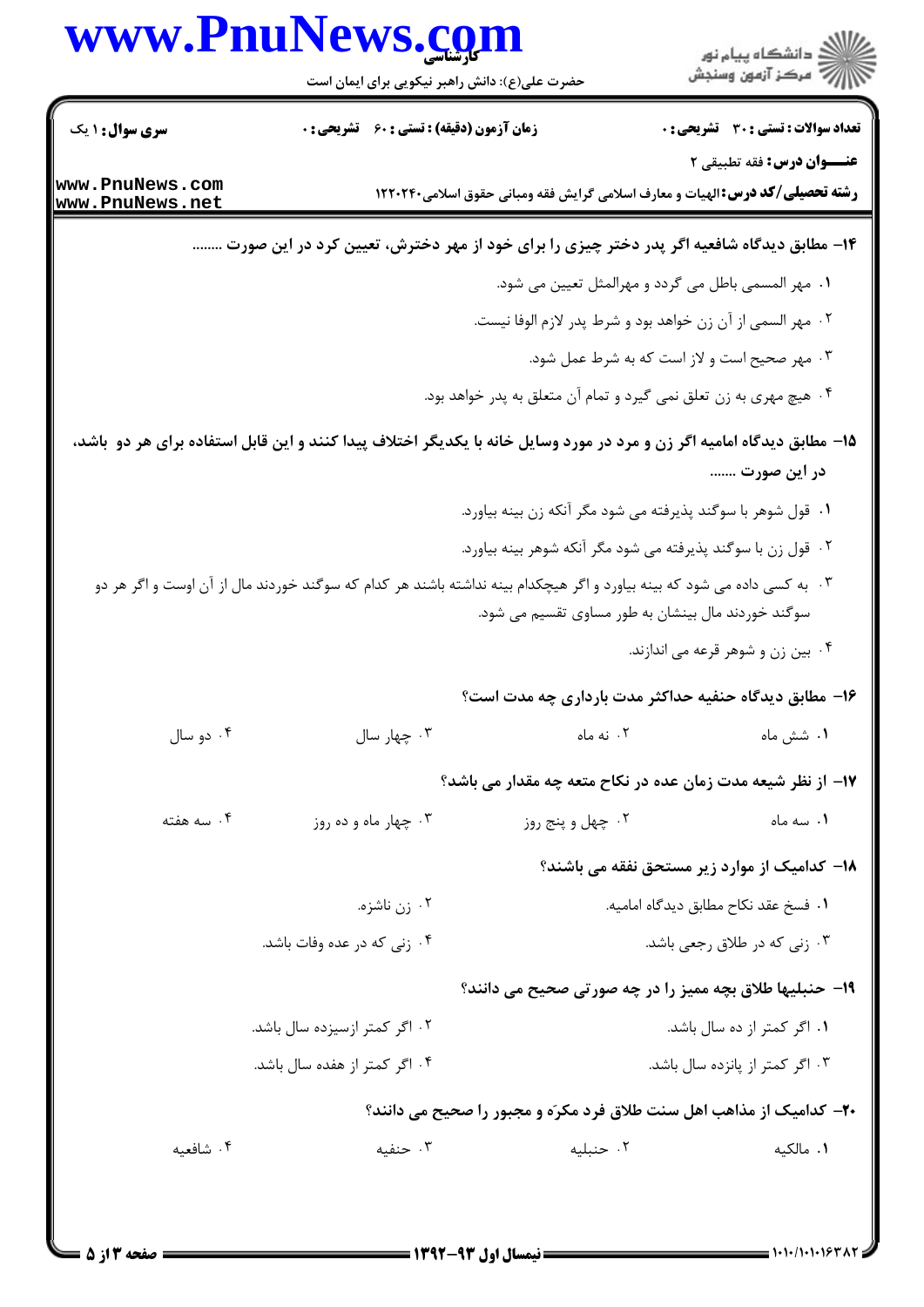|                 | www.PnuNews.com                                                                                                         |                                                                   | ر دانشگاه پيام نور<br>ا∛هرکز آزمون وسنجش                                              |
|-----------------|-------------------------------------------------------------------------------------------------------------------------|-------------------------------------------------------------------|---------------------------------------------------------------------------------------|
|                 | حضرت علی(ع): دانش راهبر نیکویی برای ایمان است                                                                           |                                                                   |                                                                                       |
| سری سوال: ۱ یک  | <b>زمان آزمون (دقیقه) : تستی : 60 ٪ تشریحی : 0</b>                                                                      |                                                                   | <b>تعداد سوالات : تستی : 30 ٪ تشریحی : 0</b>                                          |
| www.PnuNews.com |                                                                                                                         |                                                                   | عنــوان درس: فقه تطبیقی ۲                                                             |
| www.PnuNews.net |                                                                                                                         |                                                                   | <b>رشته تحصیلی/کد درس: ا</b> لهیات و معارف اسلامی گرایش فقه ومبانی حقوق اسلامی۱۲۲۰۲۴۰ |
|                 | ۱۴- مطابق دیدگاه شافعیه اگر پدر دختر چیزی را برای خود از مهر دخترش، تعیین کرد در این صورت                               |                                                                   |                                                                                       |
|                 |                                                                                                                         | ۰۱ مهر المسمى باطل مى گردد و مهرالمثل تعيين مى شود.               |                                                                                       |
|                 |                                                                                                                         | ۰۲ مهر السمي از آن زن خواهد بود و شرط پدر لازم الوفا نيست.        |                                                                                       |
|                 |                                                                                                                         | ۰۳ مهر صحیح است و لاز است که به شرط عمل شود.                      |                                                                                       |
|                 |                                                                                                                         | ۰۴ هیچ مهری به زن تعلق نمی گیرد و تمام آن متعلق به پدر خواهد بود. |                                                                                       |
|                 | ۱۵– مطابق دیدگاه امامیه اگر زن و مرد در مورد وسایل خانه با یکدیگر اختلاف پیدا کنند و این قابل استفاده برای هر دو باشد،  |                                                                   | در این صورت                                                                           |
|                 |                                                                                                                         | ۱. قول شوهر با سوگند پذیرفته می شود مگر آنکه زن بینه بیاورد.      |                                                                                       |
|                 |                                                                                                                         | ۰۲ قول زن با سوگند پذیرفته می شود مگر آنکه شوهر بینه بیاورد.      |                                                                                       |
|                 | ۰۳ به کسی داده می شود که بینه بیاورد و اگر هیچکدام بینه نداشته باشند هر کدام که سوگند خوردند مال از آن اوست و اگر هر دو | سوگند خوردند مال بینشان به طور مساوی تقسیم می شود.                |                                                                                       |
|                 |                                                                                                                         |                                                                   | ۰۴ بین زن و شوهر قرعه می اندازند.                                                     |
|                 |                                                                                                                         |                                                                   | ۱۶- مطابق دیدگاه حنفیه حداکثر مدت بارداری چه مدت است؟                                 |
| ۰۴ دو سال       | ۰۳ چهار سال                                                                                                             | ۰۲ نه ماه                                                         | ٠١ شش ماه                                                                             |
|                 |                                                                                                                         |                                                                   | ۱۷– از نظر شیعه مدت زمان عده در نکاح متعه چه مقدار می باشد؟                           |
| ۰۴ سه هفته      | ۰۳ چهار ماه و ده روز                                                                                                    | ۰۲ چهل و پنج روز                                                  | ٠١. سه ماه                                                                            |
|                 |                                                                                                                         |                                                                   | ۱۸– کدامیک از موارد زیر مستحق نفقه می باشند؟                                          |
|                 | ۰۲ زن ناشزه.                                                                                                            |                                                                   | ٠١ فسخ عقد نكاح مطابق ديدكاه اماميه.                                                  |
|                 | ۰۴ زنی که در عده وفات باشد.                                                                                             |                                                                   | ۰۳ زنی که در طلاق رجعی باشد.                                                          |
|                 |                                                                                                                         | <b>۱۹- حنبلیها طلاق بچه ممیز را در چه صورتی صحیح می دانند؟</b>    |                                                                                       |
|                 | ۰۲ اگر کمتر ازسیزده سال باشد.                                                                                           |                                                                   | ۰۱ اگر کمتر از ده سال باشد.                                                           |
|                 | ۰۴ اگر کمتر از هفده سال باشد.                                                                                           |                                                                   | ۰۳ اگر کمتر از پانزده سال باشد.                                                       |
|                 | ۲۰- کدامیک از مذاهب اهل سنت طلاق فرد مکرَه و مجبور را صحیح می دانند؟                                                    |                                                                   |                                                                                       |
|                 |                                                                                                                         |                                                                   |                                                                                       |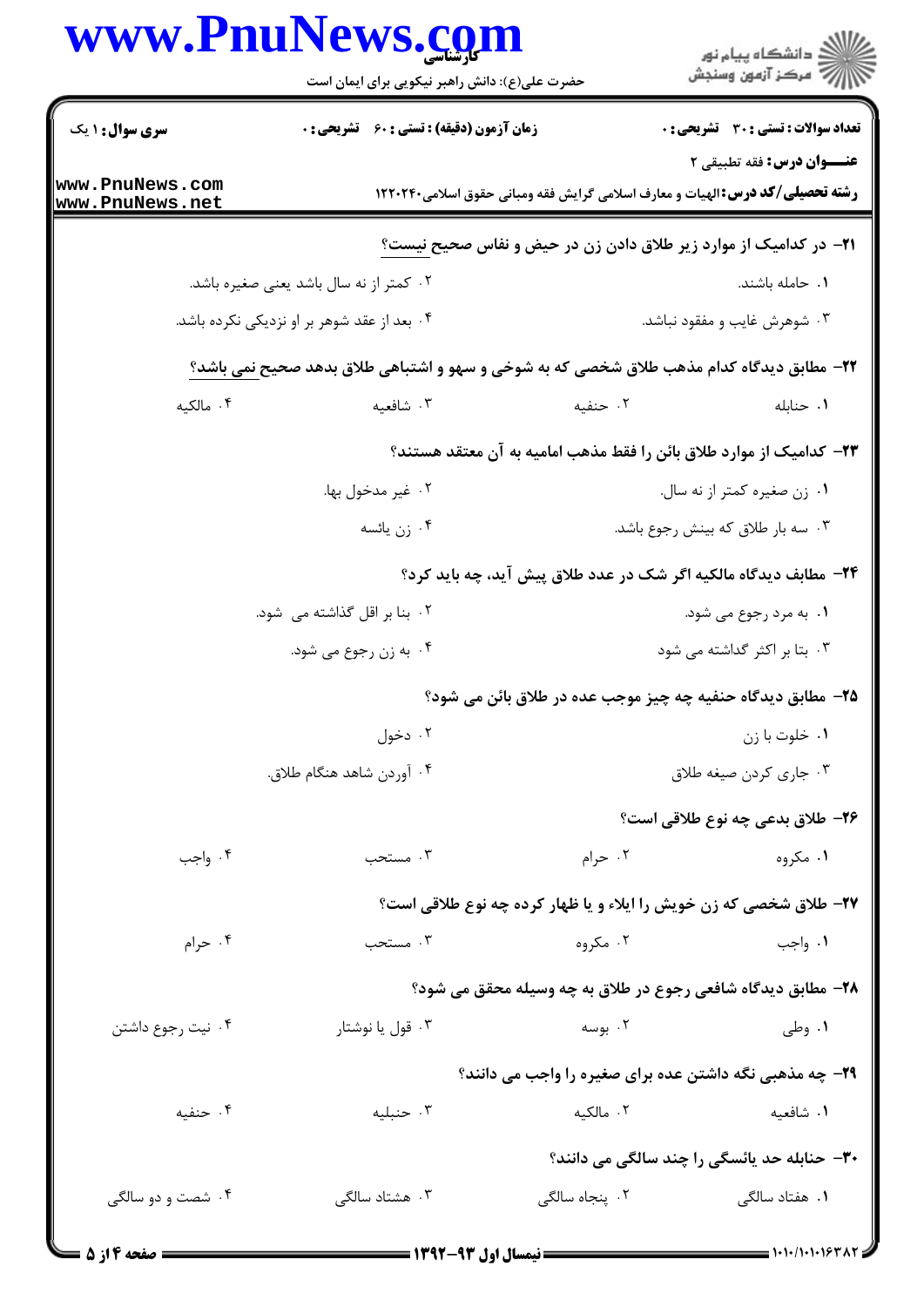## WWW PnuNews com

|                                    | WWW.PNUINeWS. <u>co</u> m<br>حضرت علی(ع): دانش راهبر نیکویی برای ایمان است               |                                                                          | ≦ دانشڪاه پيام نور<br>ر∕ = مرڪز آزمون وسنڊش  |
|------------------------------------|------------------------------------------------------------------------------------------|--------------------------------------------------------------------------|----------------------------------------------|
| <b>سری سوال : ۱ یک</b>             | <b>زمان آزمون (دقیقه) : تستی : 60 ٪ تشریحی : 0</b>                                       |                                                                          | <b>تعداد سوالات : تستی : 30 ٪ تشریحی : 0</b> |
| www.PnuNews.com<br>www.PnuNews.net | <b>رشته تحصیلی/کد درس: ا</b> لهیات و معارف اسلامی گرایش فقه ومبانی حقوق اسلامی۱۲۲۰۲۴۰    |                                                                          | <b>عنـــوان درس:</b> فقه تطبیقی ۲            |
|                                    | <b>ا۲−</b> در کدامیک از موارد زیر طلاق دادن زن در حیض و نفاس صحیح نیست؟                  |                                                                          |                                              |
|                                    | ۰۲ کمتر از نه سال باشد یعنی صغیره باشد.                                                  |                                                                          | ۰۱ حامله باشند.                              |
|                                    | ۰۴ بعد از عقد شوهر بر او نزدیکی نکرده باشد.                                              |                                                                          | ۰۳ شوهرش غایب و مفقود نباشد.                 |
|                                    | ٢٢- مطابق ديدگاه كدام مذهب طلاق شخصي كه به شوخي و سهو و اشتباهي طلاق بدهد صحيح نمي باشد؟ |                                                                          |                                              |
| ۰۴ مالکیه                          | ۰۳ شافعیه                                                                                | ۰۲ حنفیه                                                                 | ٠١. حنابله                                   |
|                                    | ۲۳– کدامیک از موارد طلاق بائن را فقط مذهب امامیه به آن معتقد هستند؟                      |                                                                          |                                              |
|                                    | ۰۲ غیر مدخول بها.                                                                        |                                                                          | ٠١ زن صغيره كمتر از نه سال.                  |
|                                    | ۰۴ زن يائسه                                                                              |                                                                          | ۰۳ سه بار طلاق که بینش رجوع باشد.            |
|                                    |                                                                                          | <b>۲۴</b> - مطابف دیدگاه مالکیه اگر شک در عدد طلاق پیش آید، چه باید کرد؟ |                                              |
|                                    | ۰۲ بنا بر اقل گذاشته می شود.                                                             |                                                                          | ۰۱ به مرد رجوع می شود.                       |
|                                    | ۰۴ به زن رجوع می شود.                                                                    |                                                                          | ۰۳ بتا بر اکثر گداشته می شود                 |
|                                    |                                                                                          | ۲۵– مطابق دیدگاه حنفیه چه چیز موجب عده در طلاق بائن می شود؟              |                                              |
|                                    | ۰۲ دخول                                                                                  |                                                                          | ۰۱ خلوت با زن                                |
|                                    | ۰۴ آوردن شاهد هنگام طلاق.                                                                |                                                                          | ۰۳ جاري كردن صيغه طلاق                       |
|                                    |                                                                                          |                                                                          | ۲۶– طلاق بدعی چه نوع طلاقی است؟              |
| ۰۴ واجب                            | ۰۳ مستحب                                                                                 | ۰۲ حرام                                                                  | ۰۱ مگروه                                     |
|                                    | <b>37- طلاق شخصی که زن خویش را ایلاء و یا ظهار کرده چه نوع طلاقی است؟</b>                |                                                                          |                                              |
| ۰۴ حرام                            | ۰۳ مستحب                                                                                 | ۰۲ مگروه                                                                 | ۰۱ واجب                                      |
|                                    |                                                                                          | ۲۸- مطابق دیدگاه شافعی رجوع در طلاق به چه وسیله محقق می شود؟             |                                              |
| ۰۴ نیت رجوع داشتن                  | ۰۳ قول یا نوشتار                                                                         | ۰۲ بوسه                                                                  | ۰۱ وطي                                       |
|                                    |                                                                                          | <b>۲۹</b> - چه مذهبی نگه داشتن عده برای صغیره را واجب می دانند؟          |                                              |
| ۰۴ حنفیه                           | ۰۳ حنبلیه                                                                                | ۰۲ مالکیه                                                                | ٠١ شافعيه                                    |
|                                    |                                                                                          | <b>۳۰</b> - حنابله حد یائسگی را چند سالگی می دانند؟                      |                                              |
| ۰۴ شصت و دو سالگی                  | ۰۳ هشتاد سالگی                                                                           | ۰۲ پنجاه سالگی                                                           | ۰۱ هفتاد سالگی                               |
|                                    |                                                                                          |                                                                          |                                              |